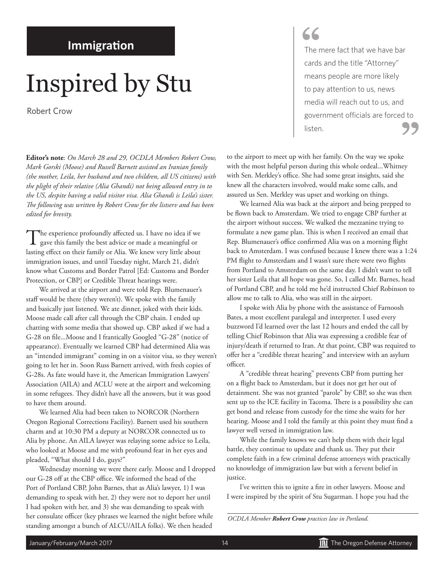#### **Immigration**

## Inspired by Stu

Robert Crow

**Editor's note**: *On March 28 and 29, OCDLA Members Robert Crow, Mark Gorski (Moose) and Russell Barnett assisted an Iranian family (the mother, Leila, her husband and two children, all US citizens) with the plight of their relative (Alia Ghandi) not being allowed entry in to the US, despite having a valid visitor visa. Alia Ghandi is Leila's sister. The following was written by Robert Crow for the listserv and has been edited for brevity.*

The experience profoundly affected us. I have no idea if we gave this family the best advice or made a meaningful or lasting effect on their family or Alia. We knew very little about immigration issues, and until Tuesday night, March 21, didn't know what Customs and Border Patrol [Ed: Customs and Border Protection, or CBP] or Credible Threat hearings were.

We arrived at the airport and were told Rep. Blumenauer's staff would be there (they weren't). We spoke with the family and basically just listened. We ate dinner, joked with their kids. Moose made call after call through the CBP chain. I ended up chatting with some media that showed up. CBP asked if we had a G-28 on file...Moose and I frantically Googled "G-28" (notice of appearance). Eventually we learned CBP had determined Alia was an "intended immigrant" coming in on a visitor visa, so they weren't going to let her in. Soon Russ Barnett arrived, with fresh copies of G-28s. As fate would have it, the American Immigration Lawyers' Association (AILA) and ACLU were at the airport and welcoming in some refugees. They didn't have all the answers, but it was good to have them around.

We learned Alia had been taken to NORCOR (Northern Oregon Regional Corrections Facility). Barnett used his southern charm and at 10:30 PM a deputy at NORCOR connected us to Alia by phone. An AILA lawyer was relaying some advice to Leila, who looked at Moose and me with profound fear in her eyes and pleaded, "What should I do, guys?"

Wednesday morning we were there early. Moose and I dropped our G-28 off at the CBP office. We informed the head of the Port of Portland CBP, John Barnes, that as Alia's lawyer, 1) I was demanding to speak with her, 2) they were not to deport her until I had spoken with her, and 3) she was demanding to speak with her consulate officer (key phrases we learned the night before while standing amongst a bunch of ALCU/AILA folks). We then headed

### **"**

The mere fact that we have bar cards and the title "Attorney" means people are more likely to pay attention to us, news media will reach out to us, and government officials are forced to listen. **"**

to the airport to meet up with her family. On the way we spoke with the most helpful person during this whole ordeal...Whitney with Sen. Merkley's office. She had some great insights, said she knew all the characters involved, would make some calls, and assured us Sen. Merkley was upset and working on things.

We learned Alia was back at the airport and being prepped to be flown back to Amsterdam. We tried to engage CBP further at the airport without success. We walked the mezzanine trying to formulate a new game plan. This is when I received an email that Rep. Blumenauer's office confirmed Alia was on a morning flight back to Amsterdam. I was confused because I knew there was a 1:24 PM flight to Amsterdam and I wasn't sure there were two flights from Portland to Amsterdam on the same day. I didn't want to tell her sister Leila that all hope was gone. So, I called Mr. Barnes, head of Portland CBP, and he told me he'd instructed Chief Robinson to allow me to talk to Alia, who was still in the airport.

I spoke with Alia by phone with the assistance of Farnoosh Bates, a most excellent paralegal and interpreter. I used every buzzword I'd learned over the last 12 hours and ended the call by telling Chief Robinson that Alia was expressing a credible fear of injury/death if returned to Iran. At that point, CBP was required to offer her a "credible threat hearing" and interview with an asylum officer.

A "credible threat hearing" prevents CBP from putting her on a flight back to Amsterdam, but it does not get her out of detainment. She was not granted "parole" by CBP, so she was then sent up to the ICE facility in Tacoma. There is a possibility she can get bond and release from custody for the time she waits for her hearing. Moose and I told the family at this point they must find a lawyer well versed in immigration law.

While the family knows we can't help them with their legal battle, they continue to update and thank us. They put their complete faith in a few criminal defense attorneys with practically no knowledge of immigration law but with a fervent belief in justice.

I've written this to ignite a fire in other lawyers. Moose and I were inspired by the spirit of Stu Sugarman. I hope you had the

*OCDLA Member Robert Crow practices law in Portland.*